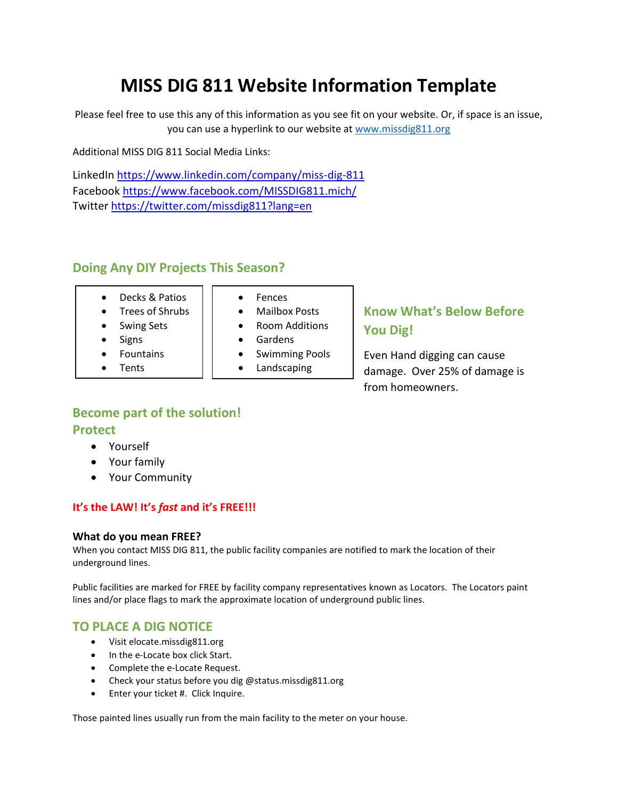# **MISS DIG 811 Website Information Template**

Please feel free to use this any of this information as you see fit on your website. Or, if space is an issue, you can use a hyperlink to our website at [www.missdig811.org](http://www.missdig811.org/)

Additional MISS DIG 811 Social Media Links:

LinkedIn <https://www.linkedin.com/company/miss-dig-811> Facebook <https://www.facebook.com/MISSDIG811.mich/> Twitter <https://twitter.com/missdig811?lang=en>

## **Doing Any DIY Projects This Season?**

- Decks & Patios
- Trees of Shrubs
- Swing Sets
- **Signs**
- **Fountains**
- **Tents**
- Fences
- Mailbox Posts
- Room Additions
- Gardens
- Swimming Pools
- Landscaping

# **Know What's Below Before You Dig!**

Even Hand digging can cause damage. Over 25% of damage is from homeowners.

## **Become part of the solution! Protect**

- Yourself
- Your family
- Your Community

#### **It's the LAW! It's** *fast* **and it's FREE!!!**

#### **What do you mean FREE?**

When you contact MISS DIG 811, the public facility companies are notified to mark the location of their underground lines.

Public facilities are marked for FREE by facility company representatives known as Locators. The Locators paint lines and/or place flags to mark the approximate location of underground public lines.

## **TO PLACE A DIG NOTICE**

- Visit elocate.missdig811.org
- In the e-Locate box click Start.
- Complete the e-Locate Request.
- Check your status before you dig @status.missdig811.org
- Enter your ticket #. Click Inquire.

Those painted lines usually run from the main facility to the meter on your house.